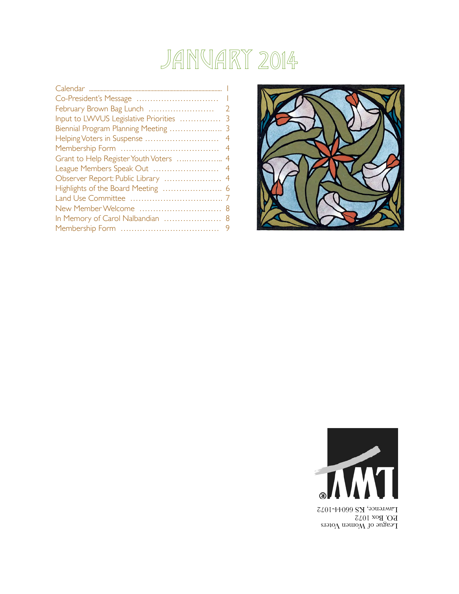## January 2014

|                                       | $\overline{\phantom{a}}$ |
|---------------------------------------|--------------------------|
| Co-President's Message                | $\mathbf{I}$             |
|                                       | $\overline{2}$           |
| Input to LWVUS Legislative Priorities | 3                        |
| Biennial Program Planning Meeting     | 3                        |
| Helping Voters in Suspense            | 4                        |
|                                       | $\overline{4}$           |
| Grant to Help Register Youth Voters   | $\overline{4}$           |
| League Members Speak Out              | 4                        |
| Observer Report: Public Library       | -4                       |
| Highlights of the Board Meeting       | -6                       |
|                                       |                          |
|                                       |                          |
| In Memory of Carol Nalbandian  8      |                          |
|                                       |                          |





League of Women Voters P.O. Box 1072 Lawrence, KS 66044-1072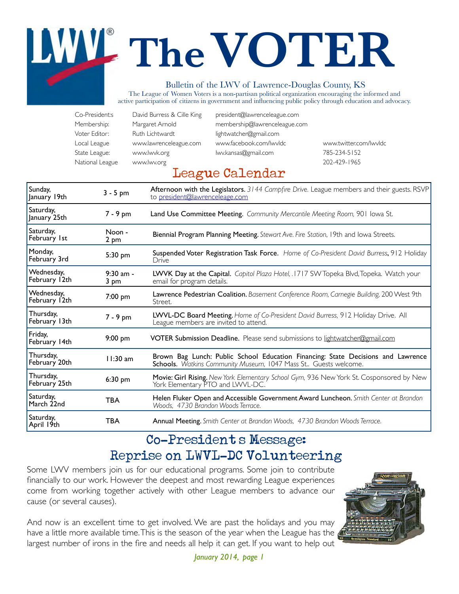# **TheVOTER**

#### Bulletin of the LWV of Lawrence-Douglas County, KS

The League of Women Voters is a non-partisan political organization encouraging the informed and active participation of citizens in government and influencing public policy through education and advocacy.

| Co-President:s  | David Burress & Cille King | president@lawrenceleague.com  |                        |
|-----------------|----------------------------|-------------------------------|------------------------|
| Membership:     | Margaret Arnold            | membership@lawrenceleague.com |                        |
| Voter Editor:   | Ruth Lichtwardt            | lightwatcher@gmail.com        |                        |
| Local League    | www.lawrenceleague.com     | www.facebook.com/lwvldc       | www.twitter.com/lwvldc |
| State League:   | www.lwvk.org               | lwy.kansas@gmail.com          | 785-234-5152           |
| National League | www.lwv.org                |                               | 202-429-1965           |

#### League Calendar

| Sunday,<br>January 19th     | $3 - 5$ pm          | Afternoon with the Legislators. 3144 Campfire Drive. League members and their guests. RSVP<br>to president@lawrenceleage.com                        |  |
|-----------------------------|---------------------|-----------------------------------------------------------------------------------------------------------------------------------------------------|--|
| Saturday,<br>January 25th   | 7 - 9 pm            | Land Use Committee Meeting. Community Mercantile Meeting Room, 901 Iowa St.                                                                         |  |
| Saturday,<br>February 1st   | Noon -<br>2 pm      | Biennial Program Planning Meeting. Stewart Ave. Fire Station, 19th and lowa Streets.                                                                |  |
| Monday,<br>February 3rd     | 5:30 pm             | Suspended Voter Registration Task Force. Home of Co-President David Burress, 912 Holiday<br>Drive                                                   |  |
| Wednesday,<br>February 12th | $9:30$ am -<br>3 pm | LWVK Day at the Capital. Capitol Plaza Hotel, .1717 SW Topeka Blvd, Topeka. Watch your<br>email for program details.                                |  |
| Wednesday,<br>February 12th | 7:00 pm             | Lawrence Pedestrian Coalition. Basement Conference Room, Carnegie Building, 200 West 9th<br>Street.                                                 |  |
| Thursday,<br>February 13th  | 7 - 9 pm            | LWVL-DC Board Meeting. Home of Co-President David Burress, 912 Holiday Drive. All<br>League members are invited to attend.                          |  |
| Friday,<br>February 14th    | $9:00$ pm           | <b>VOTER Submission Deadline.</b> Please send submissions to lightwatcher@gmail.com                                                                 |  |
| Thursday,<br>February 20th  | $11:30$ am          | Brown Bag Lunch: Public School Education Financing: State Decisions and Lawrence<br>Schools. Watkins Community Museum, 1047 Mass St Guests welcome. |  |
| Thursday,<br>February 25th  | 6:30 pm             | Movie: Girl Rising. New York Elementary School Gym, 936 New York St. Cosponsored by New<br>York Elementary PTO and LWVL-DC.                         |  |
| Saturday,<br>March 22nd     | <b>TBA</b>          | Helen Fluker Open and Accessible Government Award Luncheon. Smith Center at Brandon<br>Woods, 4730 Brandon Woods Terrace.                           |  |
| Saturday,<br>April 19th     | TBA                 | <b>Annual Meeting.</b> Smith Center at Brandon Woods, 4730 Brandon Woods Terrace.                                                                   |  |

#### Co-President's Message: Reprise on LWVL-DC Volunteering

Some LWV members join us for our educational programs. Some join to contribute financially to our work. However the deepest and most rewarding League experiences come from working together actively with other League members to advance our cause (or several causes).

And now is an excellent time to get involved. We are past the holidays and you may have a little more available time. This is the season of the year when the League has the largest number of irons in the fire and needs all help it can get. If you want to help out

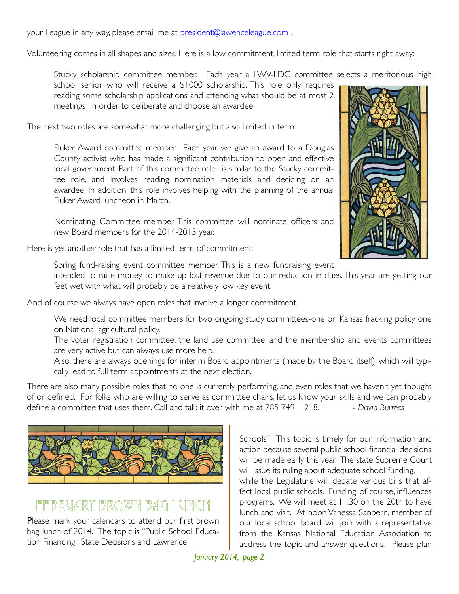your League in any way, please email me at president@lawenceleague.com.

Volunteering comes in all shapes and sizes. Here is a low commitment, limited term role that starts right away:

Stucky scholarship committee member. Each year a LWV-LDC committee selects a meritorious high

school senior who will receive a \$1000 scholarship. This role only requires reading some scholarship applications and attending what should be at most 2 meetings in order to deliberate and choose an awardee.

The next two roles are somewhat more challenging but also limited in term:

Fluker Award committee member. Each year we give an award to a Douglas County activist who has made a significant contribution to open and effective local government. Part of this committee role is similar to the Stucky committee role, and involves reading nomination materials and deciding on an awardee. In addition, this role involves helping with the planning of the annual Fluker Award luncheon in March.

Nominating Committee member. This committee will nominate officers and new Board members for the 2014-2015 year.

Here is yet another role that has a limited term of commitment:

Spring fund-raising event committee member. This is a new fundraising event

intended to raise money to make up lost revenue due to our reduction in dues. This year are getting our feet wet with what will probably be a relatively low key event.

And of course we always have open roles that involve a longer commitment.

We need local committee members for two ongoing study committees-one on Kansas fracking policy, one on National agricultural policy.

The voter registration committee, the land use committee, and the membership and events committees are very active but can always use more help.

Also, there are always openings for interim Board appointments (made by the Board itself), which will typically lead to full term appointments at the next election.

There are also many possible roles that no one is currently performing, and even roles that we haven't yet thought of or defined. For folks who are willing to serve as committee chairs, let us know your skills and we can probably define a committee that uses them. Call and talk it over with me at 785 749 1218.! ! *- David Burress*



#### February Brown Bag Lunch

Please mark your calendars to attend our first brown bag lunch of 2014. The topic is "Public School Education Financing: State Decisions and Lawrence



Schools." This topic is timely for our information and action because several public school financial decisions will be made early this year. The state Supreme Court will issue its ruling about adequate school funding, while the Legislature will debate various bills that affect local public schools. Funding, of course, influences programs. We will meet at 11:30 on the 20th to have lunch and visit. At noon Vanessa Sanbern, member of our local school board, will join with a representative from the Kansas National Education Association to address the topic and answer questions. Please plan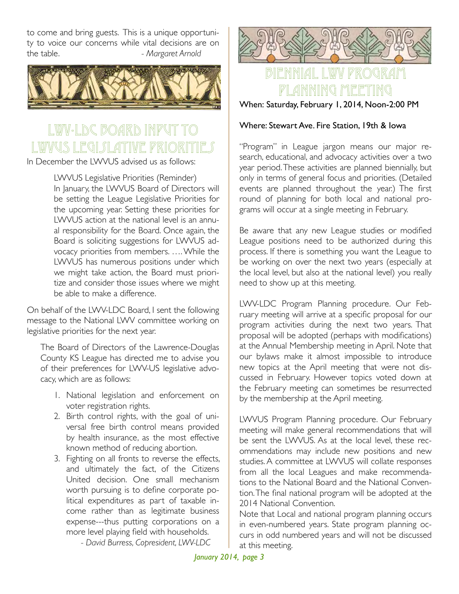to come and bring guests. This is a unique opportunity to voice our concerns while vital decisions are on the table. *- Margaret Arnold* 



## LWV-LDC BOARD INPUT LWWUS LEGI*s*i

In December the LWVUS advised us as follows:

LWVUS Legislative Priorities (Reminder) In January, the LWVUS Board of Directors will be setting the League Legislative Priorities for the upcoming year. Setting these priorities for LWVUS action at the national level is an annual responsibility for the Board. Once again, the Board is soliciting suggestions for LWVUS advocacy priorities from members. …. While the LWVUS has numerous positions under which we might take action, the Board must prioritize and consider those issues where we might be able to make a difference.

On behalf of the LWV-LDC Board, I sent the following message to the National LWV committee working on legislative priorities for the next year.

The Board of Directors of the Lawrence-Douglas County KS League has directed me to advise you of their preferences for LWV-US legislative advocacy, which are as follows:

- 1. National legislation and enforcement on voter registration rights.
- 2. Birth control rights, with the goal of universal free birth control means provided by health insurance, as the most effective known method of reducing abortion.
- 3. Fighting on all fronts to reverse the effects, and ultimately the fact, of the Citizens United decision. One small mechanism worth pursuing is to define corporate political expenditures as part of taxable income rather than as legitimate business expense---thus putting corporations on a more level playing field with households.
	- *! ! David Burress, Copresident, LWV-LDC*



#### Biennial LWV Program ANNING MEETING

When: Saturday, February 1, 2014, Noon-2:00 PM

#### Where: Stewart Ave. Fire Station, 19th & Iowa

"Program" in League jargon means our major research, educational, and advocacy activities over a two year period. These activities are planned biennially, but only in terms of general focus and priorities. (Detailed events are planned throughout the year.) The first round of planning for both local and national programs will occur at a single meeting in February.

Be aware that any new League studies or modified League positions need to be authorized during this process. If there is something you want the League to be working on over the next two years (especially at the local level, but also at the national level) you really need to show up at this meeting.

LWV-LDC Program Planning procedure. Our February meeting will arrive at a specific proposal for our program activities during the next two years. That proposal will be adopted (perhaps with modifications) at the Annual Membership meeting in April. Note that our bylaws make it almost impossible to introduce new topics at the April meeting that were not discussed in February. However topics voted down at the February meeting can sometimes be resurrected by the membership at the April meeting.

LWVUS Program Planning procedure. Our February meeting will make general recommendations that will be sent the LWVUS. As at the local level, these recommendations may include new positions and new studies. A committee at LWVUS will collate responses from all the local Leagues and make recommendations to the National Board and the National Convention. The final national program will be adopted at the 2014 National Convention.

Note that Local and national program planning occurs in even-numbered years. State program planning occurs in odd numbered years and will not be discussed at this meeting.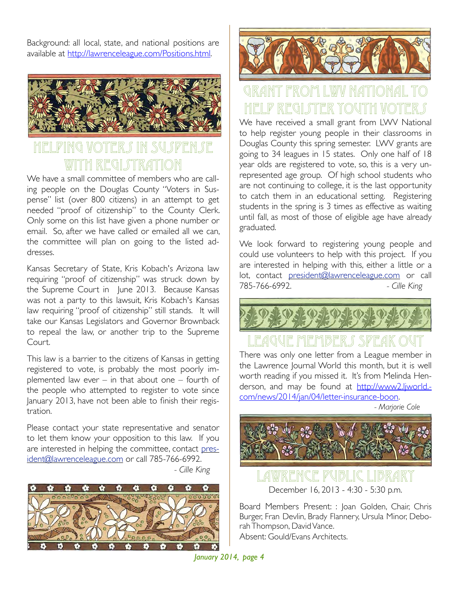Background: all local, state, and national positions are available at http://lawrenceleague.com/Positions.html.



#### G VOTER*S* IN SU*SP*EN*S*E with REGI STR*A*TI(

We have a small committee of members who are calling people on the Douglas County "Voters in Suspense" list (over 800 citizens) in an attempt to get needed "proof of citizenship" to the County Clerk. Only some on this list have given a phone number or email. So, after we have called or emailed all we can, the committee will plan on going to the listed addresses.

Kansas Secretary of State, Kris Kobach's Arizona law requiring "proof of citizenship" was struck down by the Supreme Court in June 2013. Because Kansas was not a party to this lawsuit, Kris Kobach's Kansas law requiring "proof of citizenship" still stands. It will take our Kansas Legislators and Governor Brownback to repeal the law, or another trip to the Supreme Court.

This law is a barrier to the citizens of Kansas in getting registered to vote, is probably the most poorly implemented law ever – in that about one – fourth of the people who attempted to register to vote since January 2013, have not been able to finish their registration.

Please contact your state representative and senator to let them know your opposition to this law. If you are interested in helping the committee, contact president@lawrenceleague.com or call 785-766-6992. !!!!! *- Cille King*





## Grant from LWV National to <u>HELP REGISTER YOUTH V(</u>

We have received a small grant from LWV National to help register young people in their classrooms in Douglas County this spring semester. LWV grants are going to 34 leagues in 15 states. Only one half of 18 year olds are registered to vote, so, this is a very unrepresented age group. Of high school students who are not continuing to college, it is the last opportunity to catch them in an educational setting. Registering students in the spring is 3 times as effective as waiting until fall, as most of those of eligible age have already graduated.

We look forward to registering young people and could use volunteers to help with this project. If you are interested in helping with this, either a little or a lot, contact president@lawrenceleague.com or call 785-766-6992. !! ! *- Cille King*



## LAQUE MEMBERS SPEAK

There was only one letter from a League member in the Lawrence Journal World this month, but it is well worth reading if you missed it. It's from Melinda Henderson, and may be found at http://www2.ljworld.com/news/2014/jan/04/letter-insurance-boon.

*!!!!! - Marjorie Cole*



Lawrence Public Library December 16, 2013 - 4:30 - 5:30 p.m.

Board Members Present: : Joan Golden, Chair, Chris Burger, Fran Devlin, Brady Flannery, Ursula Minor, Deborah Thompson, David Vance. Absent: Gould/Evans Architects.

*January 2014, page 4*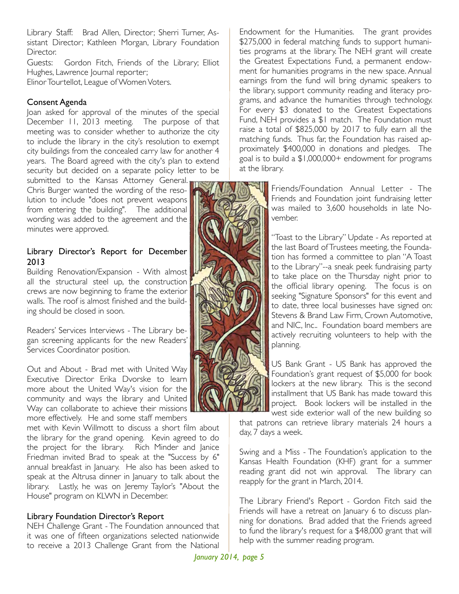Library Staff: Brad Allen, Director; Sherri Turner, Assistant Director; Kathleen Morgan, Library Foundation Director.

Guests: Gordon Fitch, Friends of the Library; Elliot Hughes, Lawrence Journal reporter;

Elinor Tourtellot, League of Women Voters.

#### Consent Agenda

Joan asked for approval of the minutes of the special December 11, 2013 meeting. The purpose of that meeting was to consider whether to authorize the city to include the library in the city's resolution to exempt city buildings from the concealed carry law for another 4 years. The Board agreed with the city's plan to extend security but decided on a separate policy letter to be

submitted to the Kansas Attorney General. Chris Burger wanted the wording of the resolution to include "does not prevent weapons from entering the building". The additional wording was added to the agreement and the minutes were approved.

#### Library Director's Report for December 2013

Building Renovation/Expansion - With almost all the structural steel up, the construction crews are now beginning to frame the exterior walls. The roof is almost finished and the building should be closed in soon.

Readers' Services Interviews - The Library began screening applicants for the new Readers' Services Coordinator position.

Out and About - Brad met with United Way Executive Director Erika Dvorske to learn more about the United Way's vision for the community and ways the library and United Way can collaborate to achieve their missions more effectively. He and some staff members

met with Kevin Willmott to discuss a short film about the library for the grand opening. Kevin agreed to do the project for the library. Rich Minder and Janice Friedman invited Brad to speak at the "Success by 6" annual breakfast in January. He also has been asked to speak at the Altrusa dinner in January to talk about the library. Lastly, he was on Jeremy Taylor's "About the House" program on KLWN in December.

#### Library Foundation Director's Report

NEH Challenge Grant - The Foundation announced that it was one of fifteen organizations selected nationwide to receive a 2013 Challenge Grant from the National

Endowment for the Humanities. The grant provides \$275,000 in federal matching funds to support humanities programs at the library. The NEH grant will create the Greatest Expectations Fund, a permanent endowment for humanities programs in the new space. Annual earnings from the fund will bring dynamic speakers to the library, support community reading and literacy programs, and advance the humanities through technology. For every \$3 donated to the Greatest Expectations Fund, NEH provides a \$1 match. The Foundation must raise a total of \$825,000 by 2017 to fully earn all the matching funds. Thus far, the Foundation has raised approximately \$400,000 in donations and pledges. The goal is to build a \$1,000,000+ endowment for programs at the library.

> Friends/Foundation Annual Letter - The Friends and Foundation joint fundraising letter was mailed to 3,600 households in late November.

> "Toast to the Library" Update - As reported at the last Board of Trustees meeting, the Foundation has formed a committee to plan "A Toast to the Library"--a sneak peek fundraising party to take place on the Thursday night prior to the official library opening. The focus is on seeking "Signature Sponsors" for this event and to date, three local businesses have signed on: Stevens & Brand Law Firm, Crown Automotive, and NIC, Inc.. Foundation board members are actively recruiting volunteers to help with the planning.

> US Bank Grant - US Bank has approved the Foundation's grant request of \$5,000 for book lockers at the new library. This is the second installment that US Bank has made toward this project. Book lockers will be installed in the west side exterior wall of the new building so

that patrons can retrieve library materials 24 hours a day, 7 days a week.

Swing and a Miss - The Foundation's application to the Kansas Health Foundation (KHF) grant for a summer reading grant did not win approval. The library can reapply for the grant in March, 2014.

The Library Friend's Report - Gordon Fitch said the Friends will have a retreat on January 6 to discuss planning for donations. Brad added that the Friends agreed to fund the library's request for a \$48,000 grant that will help with the summer reading program.

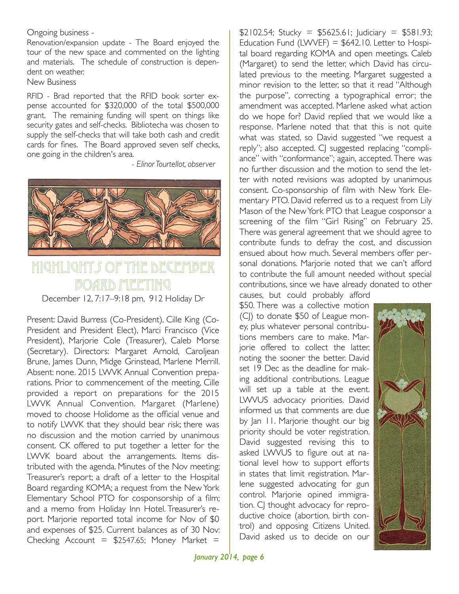Ongoing business -

Renovation/expansion update - The Board enjoyed the tour of the new space and commented on the lighting and materials. The schedule of construction is dependent on weather.

New Business

RFID - Brad reported that the RFID book sorter expense accounted for \$320,000 of the total \$500,000 grant. The remaining funding will spent on things like security gates and self-checks. Bibliotecha was chosen to supply the self-checks that will take both cash and credit cards for fines. The Board approved seven self checks, one going in the children's area.

!!! *- Elinor Tourtellot, observer*



### $M$ ighlight $\cal{S}$  of the Board meeting

December 12, 7:17–9:18 pm, 912 Holiday Dr

Present: David Burress (Co-President), Cille King (Co-President and President Elect), Marci Francisco (Vice President), Marjorie Cole (Treasurer), Caleb Morse (Secretary). Directors: Margaret Arnold, Caroljean Brune, James Dunn, Midge Grinstead, Marlene Merrill. Absent: none. 2015 LWVK Annual Convention preparations. Prior to commencement of the meeting, Cille provided a report on preparations for the 2015 LWVK Annual Convention. Margaret (Marlene) moved to choose Holidome as the official venue and to notify LWVK that they should bear risk; there was no discussion and the motion carried by unanimous consent. CK offered to put together a letter for the LWVK board about the arrangements. Items distributed with the agenda. Minutes of the Nov meeting; Treasurer's report; a draft of a letter to the Hospital Board regarding KOMA; a request from the New York Elementary School PTO for cosponsorship of a film; and a memo from Holiday Inn Hotel. Treasurer's report. Marjorie reported total income for Nov of \$0 and expenses of \$25. Current balances as of 30 Nov: Checking Account =  $$2547.65$ ; Money Market =

 $$2102.54;$  Stucky = \$5625.61; Judiciary = \$581.93; Education Fund (LWVEF) =  $$642.10$ . Letter to Hospital board regarding KOMA and open meetings. Caleb (Margaret) to send the letter, which David has circulated previous to the meeting. Margaret suggested a minor revision to the letter, so that it read "Although the purpose", correcting a typographical error; the amendment was accepted. Marlene asked what action do we hope for? David replied that we would like a response. Marlene noted that that this is not quite what was stated, so David suggested "we request a reply"; also accepted. CJ suggested replacing "compliance" with "conformance"; again, accepted. There was no further discussion and the motion to send the letter with noted revisions was adopted by unanimous consent. Co-sponsorship of film with New York Elementary PTO. David referred us to a request from Lily Mason of the New York PTO that League cosponsor a screening of the film "Girl Rising" on February 25. There was general agreement that we should agree to contribute funds to defray the cost, and discussion ensued about how much. Several members offer personal donations. Marjorie noted that we can't afford to contribute the full amount needed without special contributions, since we have already donated to other

causes, but could probably afford \$50. There was a collective motion (C|) to donate \$50 of League money, plus whatever personal contributions members care to make. Marjorie offered to collect the latter, noting the sooner the better. David set 19 Dec as the deadline for making additional contributions. League will set up a table at the event. LWVUS advocacy priorities. David informed us that comments are due by Jan 11. Marjorie thought our big priority should be voter registration. David suggested revising this to asked LWVUS to figure out at national level how to support efforts in states that limit registration. Marlene suggested advocating for gun control. Marjorie opined immigration. CJ thought advocacy for reproductive choice (abortion, birth control) and opposing Citizens United. David asked us to decide on our

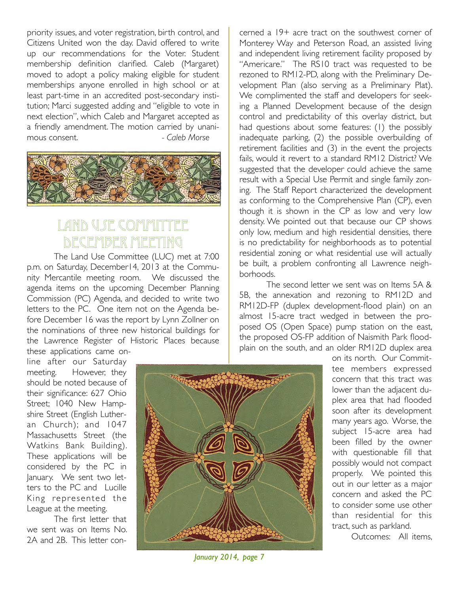priority issues, and voter registration, birth control, and Citizens United won the day. David offered to write up our recommendations for the Voter. Student membership definition clarified. Caleb (Margaret) moved to adopt a policy making eligible for student memberships anyone enrolled in high school or at least part-time in an accredited post-secondary institution; Marci suggested adding and "eligible to vote in next election", which Caleb and Margaret accepted as a friendly amendment. The motion carried by unanimous consent. *Caleb Morse* 



#### LAND USE COMMITT December Meeting

The Land Use Committee (LUC) met at 7:00 p.m. on Saturday, December14, 2013 at the Community Mercantile meeting room. We discussed the agenda items on the upcoming December Planning Commission (PC) Agenda, and decided to write two letters to the PC. One item not on the Agenda before December 16 was the report by Lynn Zollner on the nominations of three new historical buildings for the Lawrence Register of Historic Places because these applications came on-

line after our Saturday meeting. However, they should be noted because of their significance: 627 Ohio Street; 1040 New Hampshire Street (English Lutheran Church); and 1047 Massachusetts Street (the Watkins Bank Building). These applications will be considered by the PC in January. We sent two letters to the PC and Lucille King represented the League at the meeting.

The first letter that we sent was on Items No. 2A and 2B. This letter con-



*January 2014, page 7* 

cerned a 19+ acre tract on the southwest corner of Monterey Way and Peterson Road, an assisted living and independent living retirement facility proposed by "Americare." The RS10 tract was requested to be rezoned to RM12-PD, along with the Preliminary Development Plan (also serving as a Preliminary Plat). We complimented the staff and developers for seeking a Planned Development because of the design control and predictability of this overlay district, but had questions about some features: (1) the possibly inadequate parking, (2) the possible overbuilding of retirement facilities and (3) in the event the projects fails, would it revert to a standard RM12 District? We suggested that the developer could achieve the same result with a Special Use Permit and single family zoning. The Staff Report characterized the development as conforming to the Comprehensive Plan (CP), even though it is shown in the CP as low and very low density. We pointed out that because our CP shows only low, medium and high residential densities, there is no predictability for neighborhoods as to potential residential zoning or what residential use will actually be built, a problem confronting all Lawrence neighborhoods.

The second letter we sent was on Items 5A & 5B, the annexation and rezoning to RM12D and RM12D-FP (duplex development-flood plain) on an almost 15-acre tract wedged in between the proposed OS (Open Space) pump station on the east, the proposed OS-FP addition of Naismith Park floodplain on the south, and an older RM12D duplex area

on its north. Our Committee members expressed concern that this tract was lower than the adjacent duplex area that had flooded soon after its development many years ago. Worse, the subject 15-acre area had been filled by the owner with questionable fill that possibly would not compact properly. We pointed this out in our letter as a major concern and asked the PC to consider some use other than residential for this tract, such as parkland.

Outcomes: All items,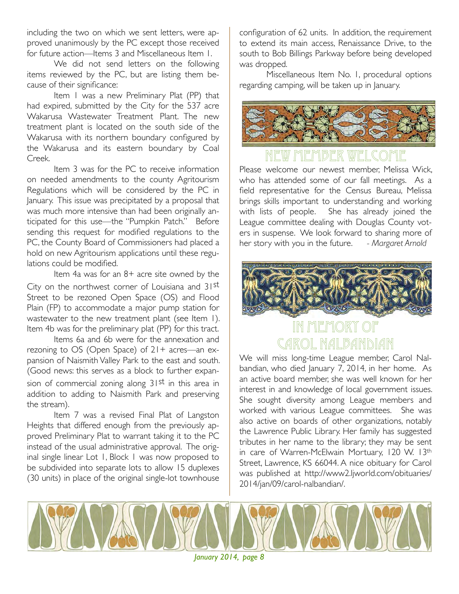including the two on which we sent letters, were approved unanimously by the PC except those received for future action—Items 3 and Miscellaneous Item 1.

We did not send letters on the following items reviewed by the PC, but are listing them because of their significance:

Item I was a new Preliminary Plat (PP) that had expired, submitted by the City for the 537 acre Wakarusa Wastewater Treatment Plant. The new treatment plant is located on the south side of the Wakarusa with its northern boundary configured by the Wakarusa and its eastern boundary by Coal Creek.

Item 3 was for the PC to receive information on needed amendments to the county Agritourism Regulations which will be considered by the PC in January. This issue was precipitated by a proposal that was much more intensive than had been originally anticipated for this use—the "Pumpkin Patch." Before sending this request for modified regulations to the PC, the County Board of Commissioners had placed a hold on new Agritourism applications until these regulations could be modified.

Item 4a was for an 8+ acre site owned by the City on the northwest corner of Louisiana and 31st Street to be rezoned Open Space (OS) and Flood Plain (FP) to accommodate a major pump station for wastewater to the new treatment plant (see Item 1). Item 4b was for the preliminary plat (PP) for this tract.

Items 6a and 6b were for the annexation and rezoning to OS (Open Space) of 21+ acres—an expansion of Naismith Valley Park to the east and south. (Good news: this serves as a block to further expansion of commercial zoning along 31st in this area in addition to adding to Naismith Park and preserving the stream).

Item 7 was a revised Final Plat of Langston Heights that differed enough from the previously approved Preliminary Plat to warrant taking it to the PC instead of the usual administrative approval. The original single linear Lot 1, Block 1 was now proposed to be subdivided into separate lots to allow 15 duplexes (30 units) in place of the original single-lot townhouse configuration of 62 units. In addition, the requirement to extend its main access, Renaissance Drive, to the south to Bob Billings Parkway before being developed was dropped.

Miscellaneous Item No. 1, procedural options regarding camping, will be taken up in January.



#### 10EK WE

Please welcome our newest member, Melissa Wick, who has attended some of our fall meetings. As a field representative for the Census Bureau, Melissa brings skills important to understanding and working with lists of people. She has already joined the League committee dealing with Douglas County voters in suspense. We look forward to sharing more of her story with you in the future. *- Margaret Arnold*



#### In Memory of Carol Nalbandian

We will miss long-time League member, Carol Nalbandian, who died January 7, 2014, in her home. As an active board member, she was well known for her interest in and knowledge of local government issues. She sought diversity among League members and worked with various League committees. She was also active on boards of other organizations, notably the Lawrence Public Library. Her family has suggested tributes in her name to the library; they may be sent in care of Warren-McElwain Mortuary, 120 W. 13th Street, Lawrence, KS 66044. A nice obituary for Carol was published at http://www2.ljworld.com/obituaries/ 2014/jan/09/carol-nalbandian/.



*January 2014, page 8*